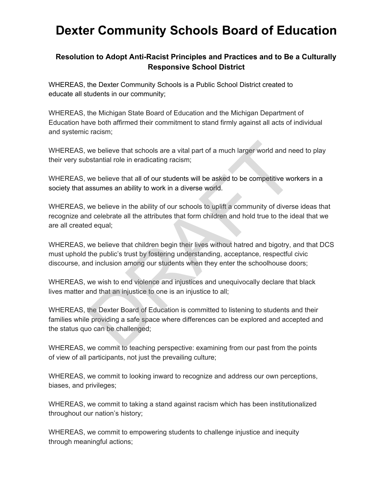## **Dexter Community Schools Board of Education**

## **Resolution to Adopt Anti-Racist Principles and Practices and to Be a Culturally Responsive School District**

WHEREAS, the Dexter Community Schools is a Public School District created to educate all students in our community;

WHEREAS, the Michigan State Board of Education and the Michigan Department of Education have both affirmed their commitment to stand firmly against all acts of individual and systemic racism;

WHEREAS, we believe that schools are a vital part of a much larger world and need to play their very substantial role in eradicating racism;

WHEREAS, we believe that all of our students will be asked to be competitive workers in a society that assumes an ability to work in a diverse world.

WHEREAS, we believe in the ability of our schools to uplift a community of diverse ideas that recognize and celebrate all the attributes that form children and hold true to the ideal that we are all created equal; we believe that schools are a vital part of a much larger world and ne<br>bstantial role in eradicating racism;<br>we believe that all of our students will be asked to be competitive wor<br>assumes an ability to work in a diverse w

WHEREAS, we believe that children begin their lives without hatred and bigotry, and that DCS must uphold the public's trust by fostering understanding, acceptance, respectful civic discourse, and inclusion among our students when they enter the schoolhouse doors;

WHEREAS, we wish to end violence and injustices and unequivocally declare that black lives matter and that an injustice to one is an injustice to all;

WHEREAS, the Dexter Board of Education is committed to listening to students and their families while providing a safe space where differences can be explored and accepted and the status quo can be challenged;

WHEREAS, we commit to teaching perspective: examining from our past from the points of view of all participants, not just the prevailing culture;

WHEREAS, we commit to looking inward to recognize and address our own perceptions, biases, and privileges;

WHEREAS, we commit to taking a stand against racism which has been institutionalized throughout our nation's history;

WHEREAS, we commit to empowering students to challenge injustice and inequity through meaningful actions;